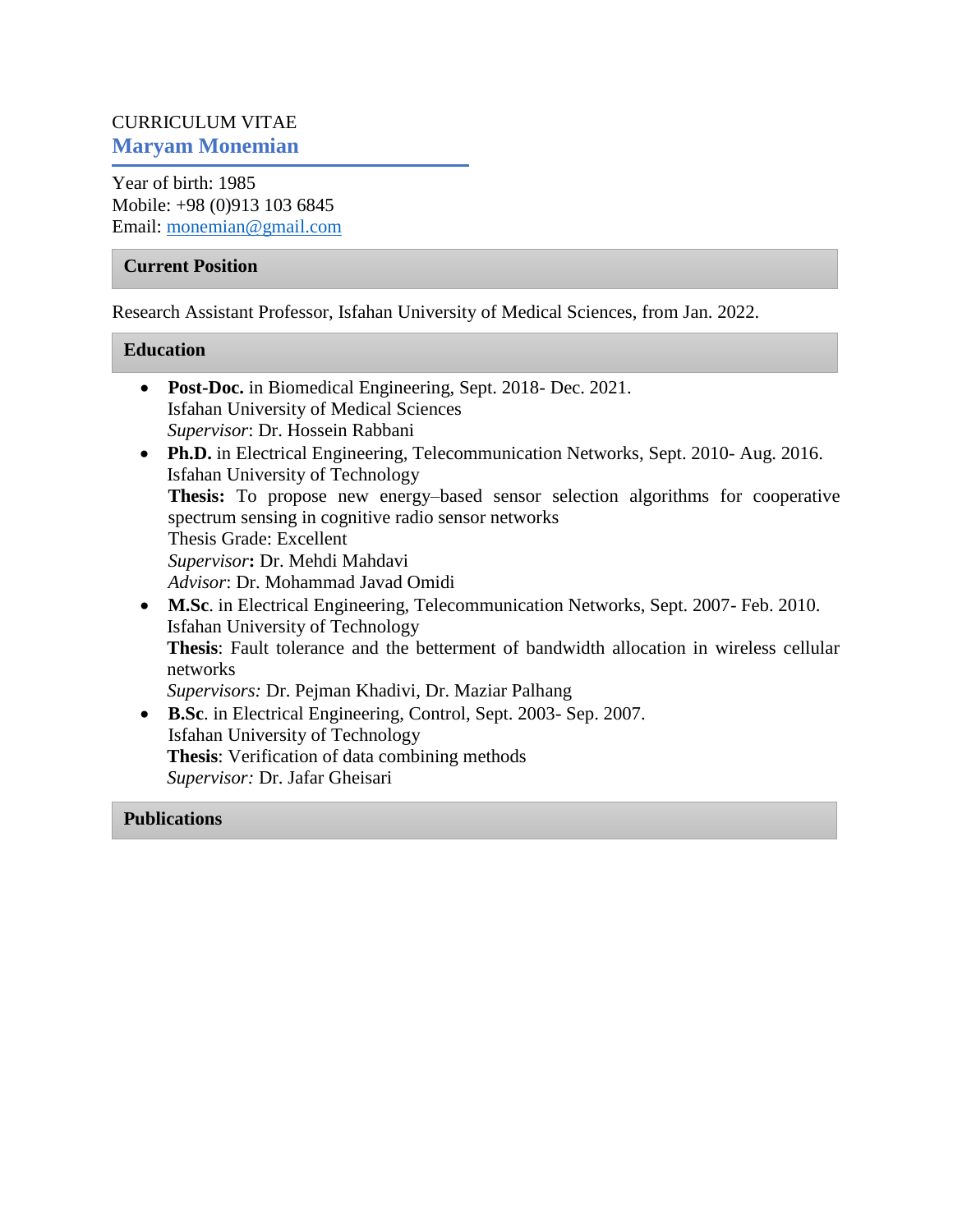# CURRICULUM VITAE **Maryam Monemian**

Year of birth: 1985 Mobile: +98 (0)913 103 6845 Email: [monemian@gmail.com](mailto:monemian@gmail.com)

### **Current Position**

Research Assistant Professor, Isfahan University of Medical Sciences, from Jan. 2022.

### **Education**

- **Post-Doc.** in Biomedical Engineering, Sept. 2018- Dec. 2021. Isfahan University of Medical Sciences *Supervisor*: Dr. Hossein Rabbani • Ph.D. in Electrical Engineering, Telecommunication Networks, Sept. 2010- Aug. 2016. Isfahan University of Technology **Thesis:** To propose new energy–based sensor selection algorithms for cooperative spectrum sensing in cognitive radio sensor networks Thesis Grade: Excellent *Supervisor***:** Dr. Mehdi Mahdavi *Advisor*: Dr. Mohammad Javad Omidi **M.Sc**. in Electrical Engineering, Telecommunication Networks, Sept. 2007- Feb. 2010. Isfahan University of Technology **Thesis**: Fault tolerance and the betterment of bandwidth allocation in wireless cellular networks *Supervisors:* Dr. Pejman Khadivi, Dr. Maziar Palhang
- **B.Sc**. in Electrical Engineering, Control, Sept. 2003- Sep. 2007. Isfahan University of Technology **Thesis**: Verification of data combining methods *Supervisor:* Dr. Jafar Gheisari

### **Publications**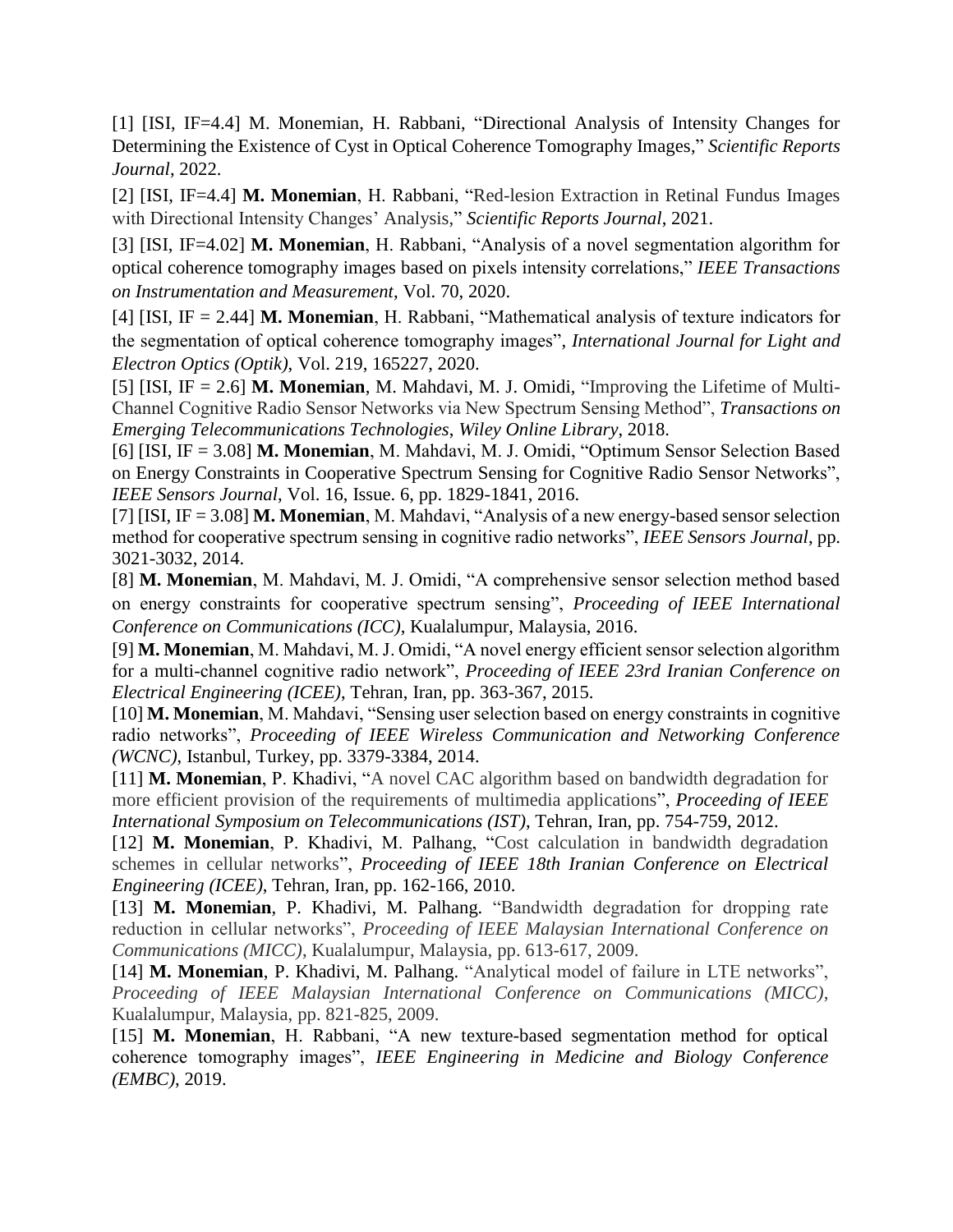[1] [ISI, IF=4.4] M. Monemian, H. Rabbani, "Directional Analysis of Intensity Changes for Determining the Existence of Cyst in Optical Coherence Tomography Images," *Scientific Reports Journal*, 2022.

[2] [ISI, IF=4.4] **M. Monemian**, H. Rabbani, "Red-lesion Extraction in Retinal Fundus Images with Directional Intensity Changes' Analysis," *Scientific Reports Journal*, 2021.

[3] [ISI, IF=4.02] **M. Monemian**, H. Rabbani, "Analysis of a novel segmentation algorithm for optical coherence tomography images based on pixels intensity correlations," *IEEE Transactions on Instrumentation and Measurement*, Vol. 70, 2020.

[4] [ISI, IF = 2.44] **M. Monemian**, H. Rabbani, "Mathematical analysis of texture indicators for the segmentation of optical coherence tomography images", *International Journal for Light and Electron Optics (Optik)*, Vol. 219, 165227, 2020.

[5] [ISI, IF = 2.6] **M. Monemian**, M. Mahdavi, M. J. Omidi, "Improving the Lifetime of Multi-Channel Cognitive Radio Sensor Networks via New Spectrum Sensing Method", *Transactions on Emerging Telecommunications Technologies*, *Wiley Online Library*, 2018.

[6] [ISI, IF = 3.08] **M. Monemian**, M. Mahdavi, M. J. Omidi, "Optimum Sensor Selection Based on Energy Constraints in Cooperative Spectrum Sensing for Cognitive Radio Sensor Networks", *IEEE Sensors Journal*, Vol. 16, Issue. 6, pp. 1829-1841, 2016.

[7] [ISI, IF = 3.08] **M. Monemian**, M. Mahdavi, "Analysis of a new energy-based sensor selection method for cooperative spectrum sensing in cognitive radio networks", *IEEE Sensors Journal*, pp. 3021-3032, 2014.

[8] **M. Monemian**, M. Mahdavi, M. J. Omidi, "A comprehensive sensor selection method based on energy constraints for cooperative spectrum sensing", *Proceeding of IEEE International Conference on Communications (ICC)*, Kualalumpur, Malaysia, 2016.

[9] **M. Monemian**, M. Mahdavi, M. J. Omidi, "A novel energy efficient sensor selection algorithm for a multi-channel cognitive radio network", *Proceeding of IEEE 23rd Iranian Conference on Electrical Engineering (ICEE)*, Tehran, Iran, pp. 363-367, 2015.

[10] **M. Monemian**, M. Mahdavi, "Sensing user selection based on energy constraints in cognitive radio networks", *Proceeding of IEEE Wireless Communication and Networking Conference (WCNC)*, Istanbul, Turkey, pp. 3379-3384, 2014.

[11] **M. Monemian**, P. Khadivi, "A novel CAC algorithm based on bandwidth degradation for more efficient provision of the requirements of multimedia applications", *Proceeding of IEEE International Symposium on Telecommunications (IST)*, Tehran, Iran, pp. 754-759, 2012.

[12] **M. Monemian**, P. Khadivi, M. Palhang, "Cost calculation in bandwidth degradation schemes in cellular networks", *Proceeding of IEEE 18th Iranian Conference on Electrical Engineering (ICEE)*, Tehran, Iran, pp. 162-166, 2010.

[13] **M. Monemian**, P. Khadivi, M. Palhang. "Bandwidth degradation for dropping rate reduction in cellular networks", *Proceeding of IEEE Malaysian International Conference on Communications (MICC)*, Kualalumpur, Malaysia, pp. 613-617, 2009.

[14] **M. Monemian**, P. Khadivi, M. Palhang. "Analytical model of failure in LTE networks", *Proceeding of IEEE Malaysian International Conference on Communications (MICC)*, Kualalumpur, Malaysia, pp. 821-825, 2009.

[15] **M. Monemian**, H. Rabbani, "A new texture-based segmentation method for optical coherence tomography images", *IEEE Engineering in Medicine and Biology Conference (EMBC)*, 2019.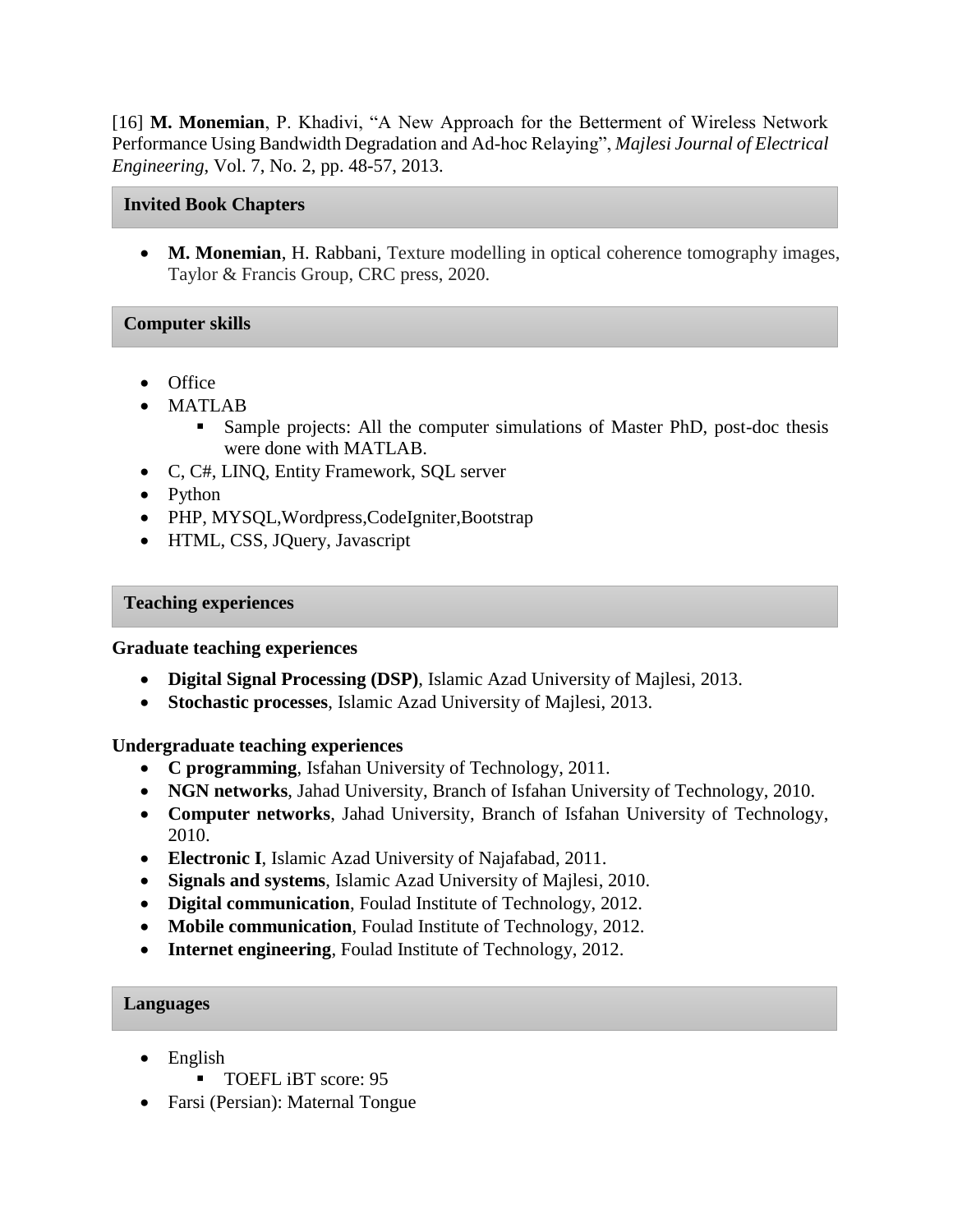[16] **M. Monemian**, P. Khadivi, "A New Approach for the Betterment of Wireless Network Performance Using Bandwidth Degradation and Ad-hoc Relaying", *Majlesi Journal of Electrical Engineering*, Vol. 7, No. 2, pp. 48-57, 2013.

### **Invited Book Chapters**

 **M. Monemian**, H. Rabbani, Texture modelling in optical coherence tomography images, Taylor & Francis Group, CRC press, 2020.

## **Computer skills**

- Office
- MATLAB
	- **Sample projects:** All the computer simulations of Master PhD, post-doc thesis were done with MATLAB.
- C, C#, LINQ, Entity Framework, SQL server
- Python
- PHP, MYSQL, Wordpress, CodeIgniter, Bootstrap
- HTML, CSS, JQuery, Javascript

### **Teaching experiences**

### **Graduate teaching experiences**

- **Digital Signal Processing (DSP)**, Islamic Azad University of Majlesi, 2013.
- **Stochastic processes**, Islamic Azad University of Majlesi, 2013.

## **Undergraduate teaching experiences**

- **C programming**, Isfahan University of Technology, 2011.
- **NGN networks**, Jahad University, Branch of Isfahan University of Technology, 2010.
- **Computer networks**, Jahad University, Branch of Isfahan University of Technology, 2010.
- **Electronic I**, Islamic Azad University of Najafabad, 2011.
- **Signals and systems**, Islamic Azad University of Majlesi, 2010.
- **Digital communication**, Foulad Institute of Technology, 2012.
- **Mobile communication**, Foulad Institute of Technology, 2012.
- **Internet engineering**, Foulad Institute of Technology, 2012.

### **Languages**

- English
	- TOEFL iBT score: 95
- Farsi (Persian): Maternal Tongue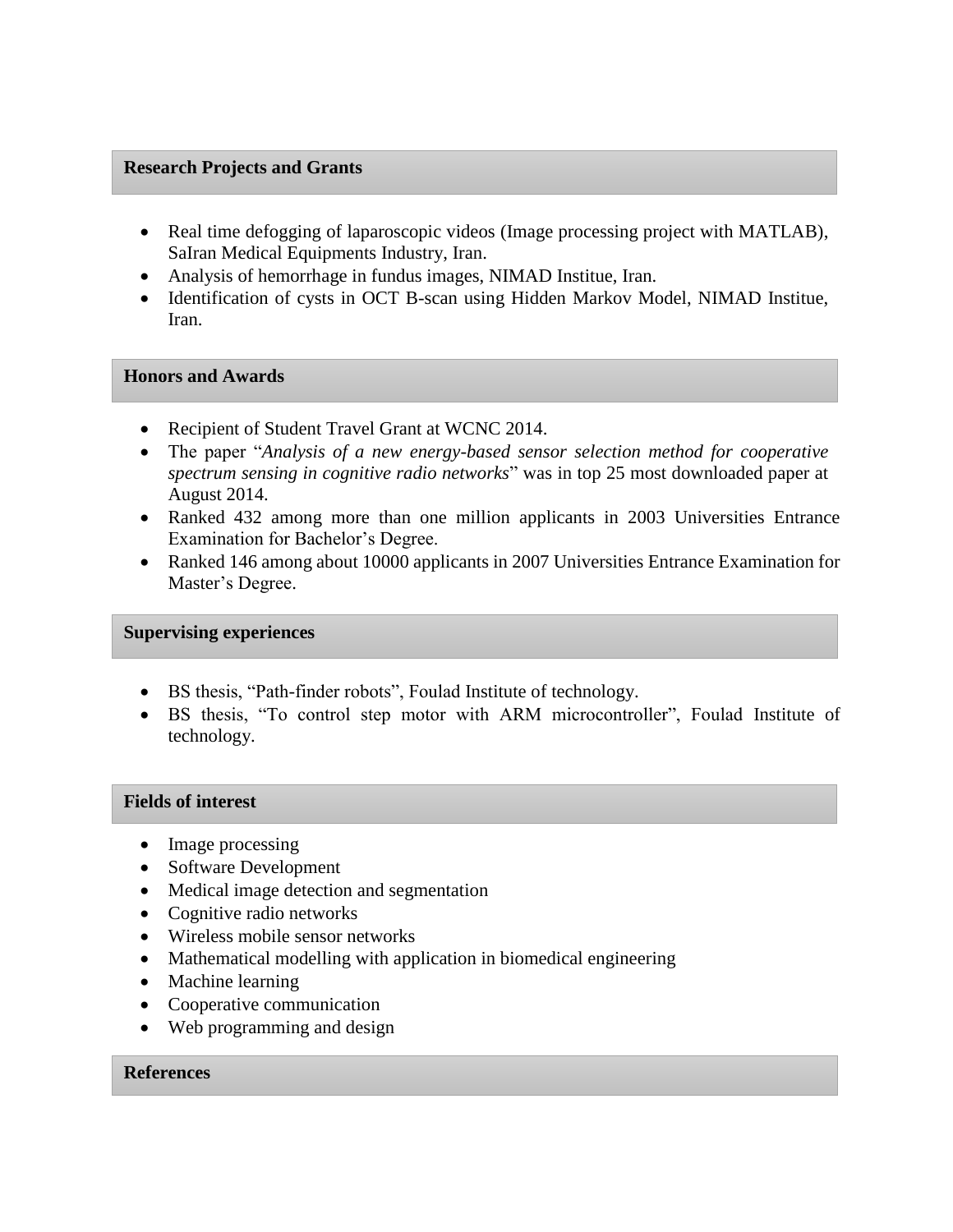### **Research Projects and Grants**

- Real time defogging of laparoscopic videos (Image processing project with MATLAB), SaIran Medical Equipments Industry, Iran.
- Analysis of hemorrhage in fundus images, NIMAD Institue, Iran.
- Identification of cysts in OCT B-scan using Hidden Markov Model, NIMAD Institue, Iran.

### **Honors and Awards**

- Recipient of Student Travel Grant at WCNC 2014.
- The paper "*Analysis of a new energy-based sensor selection method for cooperative spectrum sensing in cognitive radio networks*" was in top 25 most downloaded paper at August 2014.
- Ranked 432 among more than one million applicants in 2003 Universities Entrance Examination for Bachelor's Degree.
- Ranked 146 among about 10000 applicants in 2007 Universities Entrance Examination for Master's Degree.

#### **Supervising experiences**

- BS thesis, "Path-finder robots", Foulad Institute of technology.
- BS thesis, "To control step motor with ARM microcontroller", Foulad Institute of technology.

#### **Fields of interest**

- Image processing
- Software Development
- Medical image detection and segmentation
- Cognitive radio networks
- Wireless mobile sensor networks
- Mathematical modelling with application in biomedical engineering
- Machine learning
- Cooperative communication
- Web programming and design

### **References**